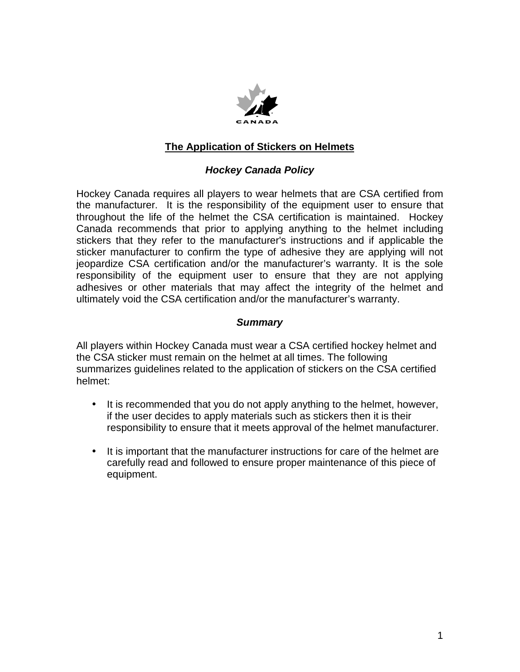

# **The Application of Stickers on Helmets**

## *Hockey Canada Policy*

Hockey Canada requires all players to wear helmets that are CSA certified from the manufacturer. It is the responsibility of the equipment user to ensure that throughout the life of the helmet the CSA certification is maintained. Hockey Canada recommends that prior to applying anything to the helmet including stickers that they refer to the manufacturer's instructions and if applicable the sticker manufacturer to confirm the type of adhesive they are applying will not jeopardize CSA certification and/or the manufacturer's warranty. It is the sole responsibility of the equipment user to ensure that they are not applying adhesives or other materials that may affect the integrity of the helmet and ultimately void the CSA certification and/or the manufacturer's warranty.

## *Summary*

All players within Hockey Canada must wear a CSA certified hockey helmet and the CSA sticker must remain on the helmet at all times. The following summarizes guidelines related to the application of stickers on the CSA certified helmet:

- It is recommended that you do not apply anything to the helmet, however, if the user decides to apply materials such as stickers then it is their responsibility to ensure that it meets approval of the helmet manufacturer.
- It is important that the manufacturer instructions for care of the helmet are carefully read and followed to ensure proper maintenance of this piece of equipment.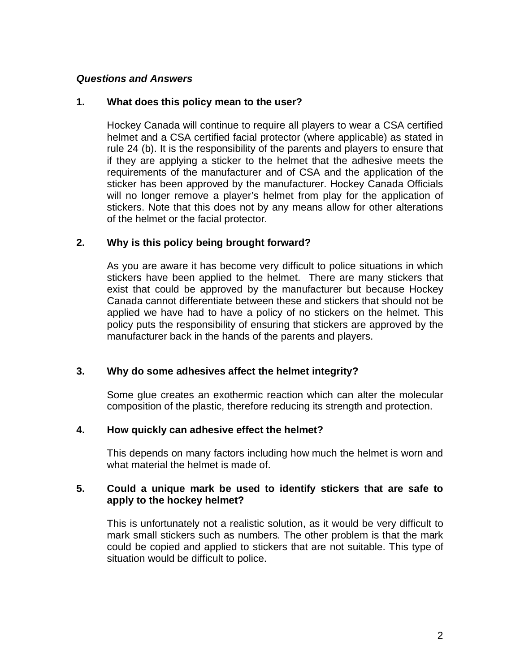## *Questions and Answers*

#### **1. What does this policy mean to the user?**

Hockey Canada will continue to require all players to wear a CSA certified helmet and a CSA certified facial protector (where applicable) as stated in rule 24 (b). It is the responsibility of the parents and players to ensure that if they are applying a sticker to the helmet that the adhesive meets the requirements of the manufacturer and of CSA and the application of the sticker has been approved by the manufacturer. Hockey Canada Officials will no longer remove a player's helmet from play for the application of stickers. Note that this does not by any means allow for other alterations of the helmet or the facial protector.

#### **2. Why is this policy being brought forward?**

As you are aware it has become very difficult to police situations in which stickers have been applied to the helmet. There are many stickers that exist that could be approved by the manufacturer but because Hockey Canada cannot differentiate between these and stickers that should not be applied we have had to have a policy of no stickers on the helmet. This policy puts the responsibility of ensuring that stickers are approved by the manufacturer back in the hands of the parents and players.

## **3. Why do some adhesives affect the helmet integrity?**

Some glue creates an exothermic reaction which can alter the molecular composition of the plastic, therefore reducing its strength and protection.

#### **4. How quickly can adhesive effect the helmet?**

This depends on many factors including how much the helmet is worn and what material the helmet is made of

#### **5. Could a unique mark be used to identify stickers that are safe to apply to the hockey helmet?**

This is unfortunately not a realistic solution, as it would be very difficult to mark small stickers such as numbers. The other problem is that the mark could be copied and applied to stickers that are not suitable. This type of situation would be difficult to police.